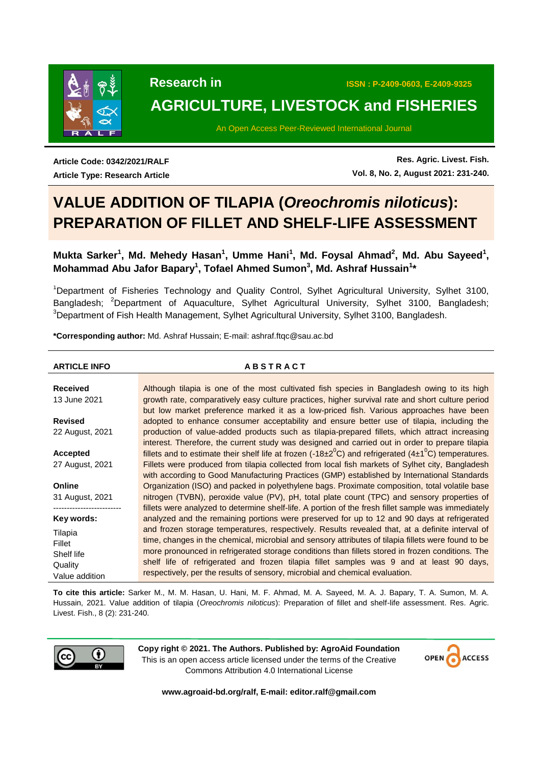

# **AGRICULTURE, LIVESTOCK and FISHERIES**

An Open Access Peer-Reviewed International Journal

**Article Code: 0342/2021/RALF Article Type: Research Article**

**Res. Agric. Livest. Fish. Vol. 8, No. 2, August 2021: 231-240.**

# **VALUE ADDITION OF TILAPIA (***Oreochromis niloticus***): PREPARATION OF FILLET AND SHELF-LIFE ASSESSMENT**

# Mukta Sarker<sup>1</sup>, Md. Mehedy Hasan<sup>1</sup>, Umme Hani<sup>1</sup>, Md. Foysal Ahmad<sup>2</sup>, Md. Abu Sayeed<sup>1</sup>, **Mohammad Abu Jafor Bapary<sup>1</sup> , Tofael Ahmed Sumon<sup>3</sup> , Md. Ashraf Hussain<sup>1</sup> \***

<sup>1</sup>Department of Fisheries Technology and Quality Control, Sylhet Agricultural University, Sylhet 3100, Bangladesh; <sup>2</sup>Department of Aquaculture, Sylhet Agricultural University, Sylhet 3100, Bangladesh; <sup>3</sup>Department of Fish Health Management, Sylhet Agricultural University, Sylhet 3100, Bangladesh.

**\*Corresponding author:** Md. Ashraf Hussain; E-mail: ashraf.ftqc@sau.ac.bd

**ARTICLE INFO A B S T R A C T**

| <b>Received</b><br>13 June 2021 | Although tilapia is one of the most cultivated fish species in Bangladesh owing to its high<br>growth rate, comparatively easy culture practices, higher survival rate and short culture period<br>but low market preference marked it as a low-priced fish. Various approaches have been |
|---------------------------------|-------------------------------------------------------------------------------------------------------------------------------------------------------------------------------------------------------------------------------------------------------------------------------------------|
| <b>Revised</b>                  | adopted to enhance consumer acceptability and ensure better use of tilapia, including the                                                                                                                                                                                                 |
| 22 August, 2021                 | production of value-added products such as tilapia-prepared fillets, which attract increasing                                                                                                                                                                                             |
|                                 | interest. Therefore, the current study was designed and carried out in order to prepare tilapia                                                                                                                                                                                           |
| Accepted                        | fillets and to estimate their shelf life at frozen $(-18\pm2^0C)$ and refrigerated $(4\pm1^0C)$ temperatures.                                                                                                                                                                             |
| 27 August, 2021                 | Fillets were produced from tilapia collected from local fish markets of Sylhet city, Bangladesh                                                                                                                                                                                           |
|                                 | with according to Good Manufacturing Practices (GMP) established by International Standards                                                                                                                                                                                               |
| Online                          | Organization (ISO) and packed in polyethylene bags. Proximate composition, total volatile base                                                                                                                                                                                            |
| 31 August, 2021                 | nitrogen (TVBN), peroxide value (PV), pH, total plate count (TPC) and sensory properties of                                                                                                                                                                                               |
|                                 | fillets were analyzed to determine shelf-life. A portion of the fresh fillet sample was immediately                                                                                                                                                                                       |
| Key words:                      | analyzed and the remaining portions were preserved for up to 12 and 90 days at refrigerated                                                                                                                                                                                               |
| Tilapia                         | and frozen storage temperatures, respectively. Results revealed that, at a definite interval of                                                                                                                                                                                           |
| Fillet                          | time, changes in the chemical, microbial and sensory attributes of tilapia fillets were found to be                                                                                                                                                                                       |
| Shelf life                      | more pronounced in refrigerated storage conditions than fillets stored in frozen conditions. The                                                                                                                                                                                          |
| Quality                         | shelf life of refrigerated and frozen tilapia fillet samples was 9 and at least 90 days,                                                                                                                                                                                                  |
| Value addition                  | respectively, per the results of sensory, microbial and chemical evaluation.                                                                                                                                                                                                              |

**To cite this article:** Sarker M., M. M. Hasan, U. Hani, M. F. Ahmad, M. A. Sayeed, M. A. J. Bapary, T. A. Sumon, M. A. Hussain, 2021. Value addition of tilapia (*Oreochromis niloticus*): Preparation of fillet and shelf-life assessment. Res. Agric. Livest. Fish., 8 (2): 231-240.



**Copy right © 2021. The Authors. Published by: AgroAid Foundation** This is an open access article licensed under the terms of the Creative Commons Attribution 4.0 International License



**www.agroaid-bd.org/ralf, E-mail: editor.ralf@gmail.com**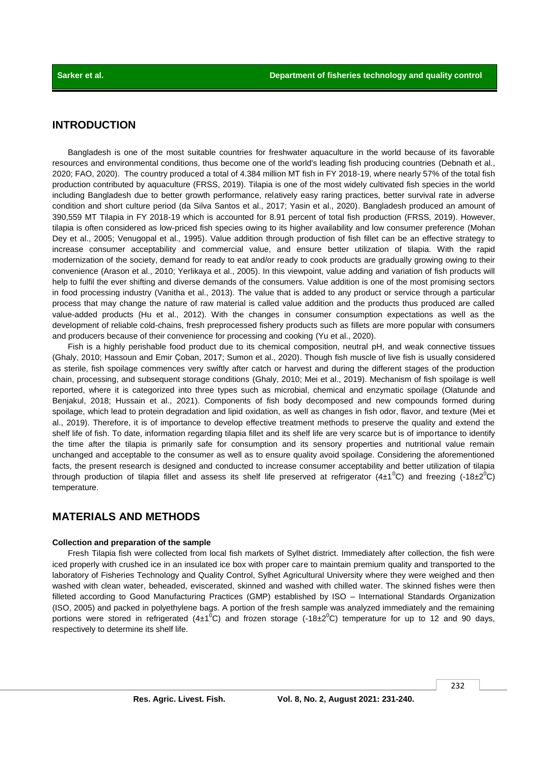# **INTRODUCTION**

Bangladesh is one of the most suitable countries for freshwater aquaculture in the world because of its favorable resources and environmental conditions, thus become one of the world's leading fish producing countries (Debnath et al., 2020; FAO, 2020). The country produced a total of 4.384 million MT fish in FY 2018-19, where nearly 57% of the total fish production contributed by aquaculture (FRSS, 2019). Tilapia is one of the most widely cultivated fish species in the world including Bangladesh due to better growth performance, relatively easy raring practices, better survival rate in adverse condition and short culture period (da Silva Santos et al., 2017; Yasin et al., 2020). Bangladesh produced an amount of 390,559 MT Tilapia in FY 2018-19 which is accounted for 8.91 percent of total fish production (FRSS, 2019). However, tilapia is often considered as low-priced fish species owing to its higher availability and low consumer preference (Mohan Dey et al., 2005; Venugopal et al., 1995). Value addition through production of fish fillet can be an effective strategy to increase consumer acceptability and commercial value, and ensure better utilization of tilapia. With the rapid modernization of the society, demand for ready to eat and/or ready to cook products are gradually growing owing to their convenience (Arason et al., 2010; Yerlikaya et al., 2005). In this viewpoint, value adding and variation of fish products will help to fulfil the ever shifting and diverse demands of the consumers. Value addition is one of the most promising sectors in food processing industry (Vanitha et al., 2013). The value that is added to any product or service through a particular process that may change the nature of raw material is called value addition and the products thus produced are called value-added products (Hu et al., 2012). With the changes in consumer consumption expectations as well as the development of reliable cold-chains, fresh preprocessed fishery products such as fillets are more popular with consumers and producers because of their convenience for processing and cooking (Yu et al., 2020).

Fish is a highly perishable food product due to its chemical composition, neutral pH, and weak connective tissues (Ghaly, 2010; Hassoun and Emir Çoban, 2017; Sumon et al., 2020). Though fish muscle of live fish is usually considered as sterile, fish spoilage commences very swiftly after catch or harvest and during the different stages of the production chain, processing, and subsequent storage conditions (Ghaly, 2010; Mei et al., 2019). Mechanism of fish spoilage is well reported, where it is categorized into three types such as microbial, chemical and enzymatic spoilage (Olatunde and Benjakul, 2018; Hussain et al., 2021). Components of fish body decomposed and new compounds formed during spoilage, which lead to protein degradation and lipid oxidation, as well as changes in fish odor, flavor, and texture (Mei et al., 2019). Therefore, it is of importance to develop effective treatment methods to preserve the quality and extend the shelf life of fish. To date, information regarding tilapia fillet and its shelf life are very scarce but is of importance to identify the time after the tilapia is primarily safe for consumption and its sensory properties and nutritional value remain unchanged and acceptable to the consumer as well as to ensure quality avoid spoilage. Considering the aforementioned facts, the present research is designed and conducted to increase consumer acceptability and better utilization of tilapia through production of tilapia fillet and assess its shelf life preserved at refrigerator (4±1<sup>o</sup>C) and freezing (-18±2<sup>o</sup>C) temperature.

# **MATERIALS AND METHODS**

#### **Collection and preparation of the sample**

Fresh Tilapia fish were collected from local fish markets of Sylhet district. Immediately after collection, the fish were iced properly with crushed ice in an insulated ice box with proper care to maintain premium quality and transported to the laboratory of Fisheries Technology and Quality Control, Sylhet Agricultural University where they were weighed and then washed with clean water, beheaded, eviscerated, skinned and washed with chilled water. The skinned fishes were then filleted according to Good Manufacturing Practices (GMP) established by ISO – International Standards Organization (ISO, 2005) and packed in polyethylene bags. A portion of the fresh sample was analyzed immediately and the remaining portions were stored in refrigerated  $(4\pm1^{\circ}C)$  and frozen storage (-18 $\pm2^{\circ}C$ ) temperature for up to 12 and 90 days, respectively to determine its shelf life.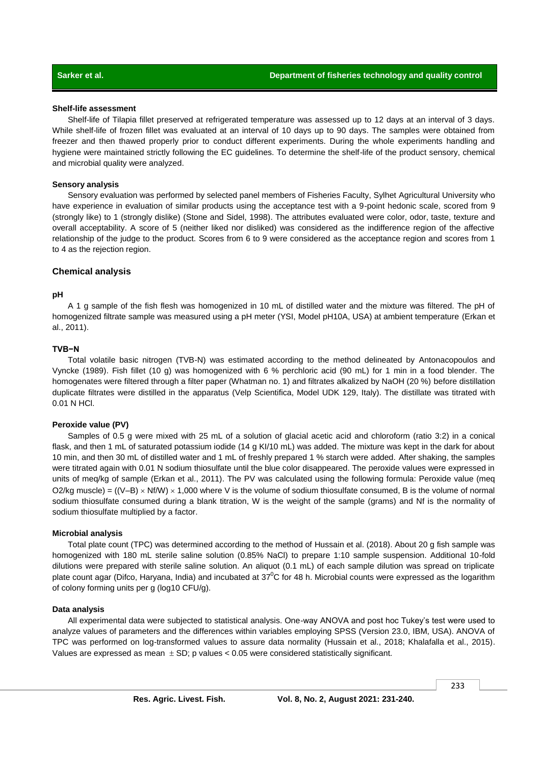#### **Shelf-life assessment**

Shelf-life of Tilapia fillet preserved at refrigerated temperature was assessed up to 12 days at an interval of 3 days. While shelf-life of frozen fillet was evaluated at an interval of 10 days up to 90 days. The samples were obtained from freezer and then thawed properly prior to conduct different experiments. During the whole experiments handling and hygiene were maintained strictly following the EC guidelines. To determine the shelf-life of the product sensory, chemical and microbial quality were analyzed.

#### **Sensory analysis**

Sensory evaluation was performed by selected panel members of Fisheries Faculty, Sylhet Agricultural University who have experience in evaluation of similar products using the acceptance test with a 9-point hedonic scale, scored from 9 (strongly like) to 1 (strongly dislike) (Stone and Sidel, 1998). The attributes evaluated were color, odor, taste, texture and overall acceptability. A score of 5 (neither liked nor disliked) was considered as the indifference region of the affective relationship of the judge to the product. Scores from 6 to 9 were considered as the acceptance region and scores from 1 to 4 as the rejection region.

#### **Chemical analysis**

#### **pH**

A 1 g sample of the fish flesh was homogenized in 10 mL of distilled water and the mixture was filtered. The pH of homogenized filtrate sample was measured using a pH meter (YSI, Model pH10A, USA) at ambient temperature (Erkan et al., 2011).

#### **TVB−N**

Total volatile basic nitrogen (TVB-N) was estimated according to the method delineated by Antonacopoulos and Vyncke (1989). Fish fillet (10 g) was homogenized with 6 % perchloric acid (90 mL) for 1 min in a food blender. The homogenates were filtered through a filter paper (Whatman no. 1) and filtrates alkalized by NaOH (20 %) before distillation duplicate filtrates were distilled in the apparatus (Velp Scientifica, Model UDK 129, Italy). The distillate was titrated with 0.01 N HCl.

#### **Peroxide value (PV)**

Samples of 0.5 g were mixed with 25 mL of a solution of glacial acetic acid and chloroform (ratio 3:2) in a conical flask, and then 1 mL of saturated potassium iodide (14 g KI/10 mL) was added. The mixture was kept in the dark for about 10 min, and then 30 mL of distilled water and 1 mL of freshly prepared 1 % starch were added. After shaking, the samples were titrated again with 0.01 N sodium thiosulfate until the blue color disappeared. The peroxide values were expressed in units of meq/kg of sample (Erkan et al., 2011). The PV was calculated using the following formula: Peroxide value (meq O2/kg muscle) =  $((V-B) \times Nf/W) \times 1,000$  where V is the volume of sodium thiosulfate consumed, B is the volume of normal sodium thiosulfate consumed during a blank titration, W is the weight of the sample (grams) and Nf is the normality of sodium thiosulfate multiplied by a factor.

#### **Microbial analysis**

Total plate count (TPC) was determined according to the method of Hussain et al. (2018). About 20 g fish sample was homogenized with 180 mL sterile saline solution (0.85% NaCl) to prepare 1:10 sample suspension. Additional 10-fold dilutions were prepared with sterile saline solution. An aliquot (0.1 mL) of each sample dilution was spread on triplicate plate count agar (Difco, Haryana, India) and incubated at  $37^{\circ}$ C for 48 h. Microbial counts were expressed as the logarithm of colony forming units per g (log10 CFU/g).

### **Data analysis**

All experimental data were subjected to statistical analysis. One-way ANOVA and post hoc Tukey's test were used to analyze values of parameters and the differences within variables employing SPSS (Version 23.0, IBM, USA). ANOVA of TPC was performed on log-transformed values to assure data normality (Hussain et al., 2018; Khalafalla et al., 2015). Values are expressed as mean  $\pm$  SD; p values < 0.05 were considered statistically significant.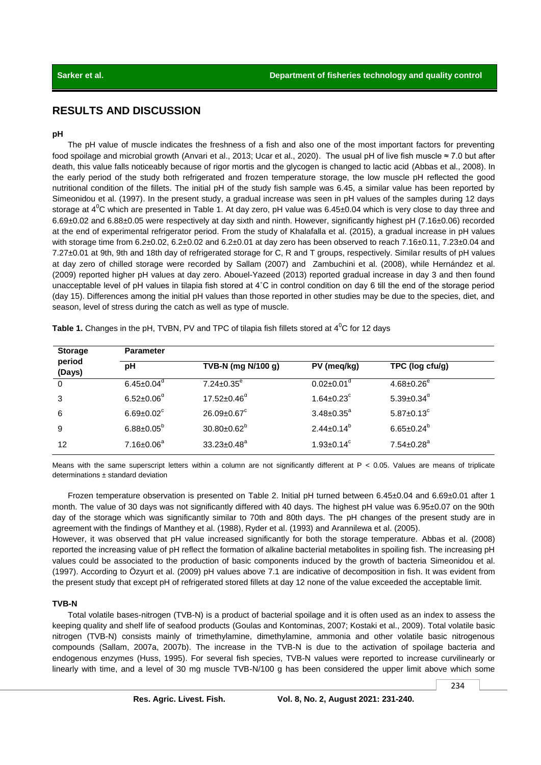# **RESULTS AND DISCUSSION**

#### **pH**

The pH value of muscle indicates the freshness of a fish and also one of the most important factors for preventing food spoilage and microbial growth (Anvari et al., 2013; Ucar et al., 2020). The usual pH of live fish muscle ≈ 7.0 but after death, this value falls noticeably because of rigor mortis and the glycogen is changed to lactic acid (Abbas et al., 2008). In the early period of the study both refrigerated and frozen temperature storage, the low muscle pH reflected the good nutritional condition of the fillets. The initial pH of the study fish sample was 6.45, a similar value has been reported by Simeonidou et al. (1997). In the present study, a gradual increase was seen in pH values of the samples during 12 days storage at  $4^0$ C which are presented in Table 1. At day zero, pH value was  $6.45\pm0.04$  which is very close to day three and 6.69±0.02 and 6.88±0.05 were respectively at day sixth and ninth. However, significantly highest pH (7.16±0.06) recorded at the end of experimental refrigerator period. From the study of Khalafalla et al. (2015), a gradual increase in pH values with storage time from  $6.2\pm0.02$ ,  $6.2\pm0.02$  and  $6.2\pm0.01$  at day zero has been observed to reach  $7.16\pm0.11$ ,  $7.23\pm0.04$  and 7.27±0.01 at 9th, 9th and 18th day of refrigerated storage for C, R and T groups, respectively. Similar results of pH values at day zero of chilled storage were recorded by Sallam (2007) and Zambuchini et al. (2008), while Hernández et al. (2009) reported higher pH values at day zero. Abouel-Yazeed (2013) reported gradual increase in day 3 and then found unacceptable level of pH values in tilapia fish stored at 4˚C in control condition on day 6 till the end of the storage period (day 15). Differences among the initial pH values than those reported in other studies may be due to the species, diet, and season, level of stress during the catch as well as type of muscle.

| <b>Storage</b><br>period<br>(Days) | <b>Parameter</b>             |                               |                              |                              |  |  |  |
|------------------------------------|------------------------------|-------------------------------|------------------------------|------------------------------|--|--|--|
|                                    | рH                           | TVB-N (mg N/100 g)            | PV (meq/kg)                  | TPC (log cfu/g)              |  |  |  |
| $\overline{0}$                     | $6.45 \pm 0.04$ <sup>d</sup> | $7.24 \pm 0.35$ <sup>e</sup>  | $0.02 \pm 0.01$ <sup>d</sup> | $4.68 \pm 0.26$ <sup>e</sup> |  |  |  |
| 3                                  | $6.52 \pm 0.06^{\circ}$      | $17.52 \pm 0.46^{\circ}$      | $1.64 \pm 0.23$ <sup>c</sup> | $5.39 \pm 0.34$ <sup>d</sup> |  |  |  |
| 6                                  | $6.69 \pm 0.02$ <sup>c</sup> | $26.09 \pm 0.67$ <sup>c</sup> | $3.48 \pm 0.35^{\circ}$      | $5.87 \pm 0.13$ <sup>c</sup> |  |  |  |
| 9                                  | $6.88 \pm 0.05^b$            | $30.80 \pm 0.62^b$            | $2.44 \pm 0.14^b$            | $6.65 \pm 0.24^b$            |  |  |  |
| 12                                 | $7.16 \pm 0.06$ <sup>a</sup> | $33.23 \pm 0.48^a$            | $1.93 \pm 0.14^c$            | $7.54 \pm 0.28$ <sup>a</sup> |  |  |  |

**Table 1.** Changes in the pH, TVBN, PV and TPC of tilapia fish fillets stored at 4<sup>o</sup>C for 12 days

Means with the same superscript letters within a column are not significantly different at P < 0.05. Values are means of triplicate determinations ± standard deviation

Frozen temperature observation is presented on Table 2. Initial pH turned between 6.45±0.04 and 6.69±0.01 after 1 month. The value of 30 days was not significantly differed with 40 days. The highest pH value was 6.95±0.07 on the 90th day of the storage which was significantly similar to 70th and 80th days. The pH changes of the present study are in agreement with the findings of Manthey et al. (1988), Ryder et al. (1993) and Arannilewa et al. (2005).

However, it was observed that pH value increased significantly for both the storage temperature. Abbas et al. (2008) reported the increasing value of pH reflect the formation of alkaline bacterial metabolites in spoiling fish. The increasing pH values could be associated to the production of basic components induced by the growth of bacteria Simeonidou et al. (1997). According to Özyurt et al. (2009) pH values above 7.1 are indicative of decomposition in fish. It was evident from the present study that except pH of refrigerated stored fillets at day 12 none of the value exceeded the acceptable limit.

### **TVB-N**

Total volatile bases-nitrogen (TVB-N) is a product of bacterial spoilage and it is often used as an index to assess the keeping quality and shelf life of seafood products (Goulas and Kontominas, 2007; Kostaki et al., 2009). Total volatile basic nitrogen (TVB-N) consists mainly of trimethylamine, dimethylamine, ammonia and other volatile basic nitrogenous compounds (Sallam, 2007a, 2007b). The increase in the TVB-N is due to the activation of spoilage bacteria and endogenous enzymes (Huss, 1995). For several fish species, TVB-N values were reported to increase curvilinearly or linearly with time, and a level of 30 mg muscle TVB-N/100 g has been considered the upper limit above which some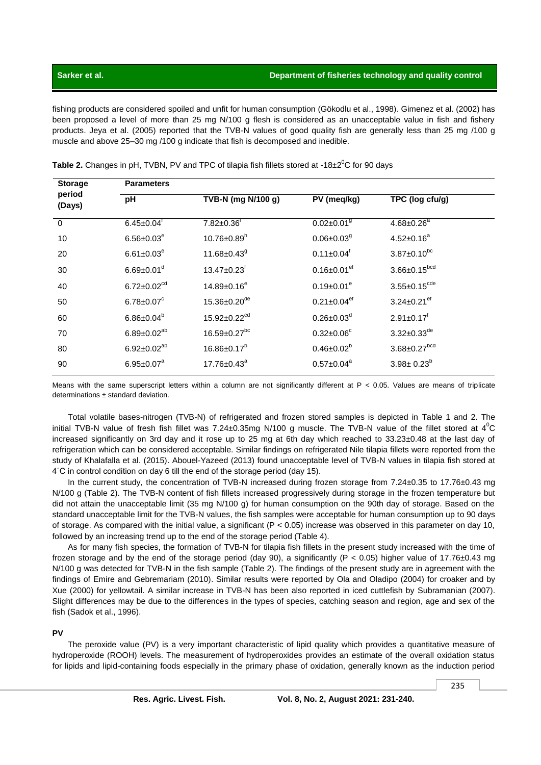#### Department of fisheries technology and quality control

# Sarker et al.

fishing products are considered spoiled and unfit for human consumption (Gökodlu et al., 1998). Gimenez et al. (2002) has been proposed a level of more than 25 mg N/100 g flesh is considered as an unacceptable value in fish and fishery products. Jeya et al. (2005) reported that the TVB-N values of good quality fish are generally less than 25 mg /100 g muscle and above 25-30 mg /100 g indicate that fish is decomposed and inedible.

| <b>Storage</b><br>period<br>(Days) | <b>Parameters</b>             |                                |                               |                                |  |  |
|------------------------------------|-------------------------------|--------------------------------|-------------------------------|--------------------------------|--|--|
|                                    | pH                            | TVB-N (mg N/100 g)             | PV (meq/kg)                   | TPC (log cfu/g)                |  |  |
| $\overline{0}$                     | $6.45 \pm 0.04$               | $7.82 \pm 0.36$                | $0.02 \pm 0.01$ <sup>g</sup>  | $4.68 \pm 0.26^a$              |  |  |
| 10                                 | $6.56 \pm 0.03^e$             | $10.76 \pm 0.89$ <sup>h</sup>  | $0.06 \pm 0.03$ <sup>g</sup>  | $4.52 \pm 0.16^a$              |  |  |
| 20                                 | $6.61 \pm 0.03^e$             | 11.68±0.43 <sup>9</sup>        | $0.11 \pm 0.04$ <sup>f</sup>  | $3.87 \pm 0.10^{bc}$           |  |  |
| 30                                 | $6.69 \pm 0.01$ <sup>d</sup>  | $13.47 \pm 0.23$ <sup>f</sup>  | $0.16 \pm 0.01$ <sup>ef</sup> | $3.66 \pm 0.15^{bcd}$          |  |  |
| 40                                 | $6.72 \pm 0.02$ <sup>cd</sup> | $14.89 \pm 0.16^e$             | $0.19 \pm 0.01^e$             | $3.55 \pm 0.15^{cde}$          |  |  |
| 50                                 | $6.78 \pm 0.07^c$             | 15.36±0.20 <sup>de</sup>       | $0.21 \pm 0.04$ <sup>ef</sup> | 3.24 $\pm$ 0.21 <sup>ef</sup>  |  |  |
| 60                                 | $6.86 \pm 0.04^b$             | $15.92 \pm 0.22$ <sup>cd</sup> | $0.26 \pm 0.03$ <sup>d</sup>  | $2.91 \pm 0.17$ <sup>f</sup>   |  |  |
| 70                                 | $6.89 \pm 0.02^{ab}$          | $16.59 \pm 0.27$ <sup>bc</sup> | $0.32 \pm 0.06^c$             | $3.32 \pm 0.33$ <sup>de</sup>  |  |  |
| 80                                 | $6.92 \pm 0.02^{ab}$          | $16.86 \pm 0.17^b$             | $0.46 \pm 0.02^b$             | $3.68 \pm 0.27$ <sup>bcd</sup> |  |  |
| 90                                 | $6.95 \pm 0.07^a$             | $17.76 \pm 0.43^a$             | $0.57 \pm 0.04^a$             | $3.98 \pm 0.23^{b}$            |  |  |

Table 2. Changes in pH, TVBN, PV and TPC of tilapia fish fillets stored at -18 $\pm 2^0$ C for 90 days

Means with the same superscript letters within a column are not significantly different at P < 0.05. Values are means of triplicate determinations  $\pm$  standard deviation.

Total volatile bases-nitrogen (TVB-N) of refrigerated and frozen stored samples is depicted in Table 1 and 2. The initial TVB-N value of fresh fish fillet was 7.24±0.35mg N/100 g muscle. The TVB-N value of the fillet stored at  $4^{\circ}$ C increased significantly on 3rd day and it rose up to 25 mg at 6th day which reached to  $33.23\pm0.48$  at the last day of refrigeration which can be considered acceptable. Similar findings on refrigerated Nile tilapia fillets were reported from the study of Khalafalla et al. (2015). Abouel-Yazeed (2013) found unacceptable level of TVB-N values in tilapia fish stored at 4°C in control condition on day 6 till the end of the storage period (day 15).

In the current study, the concentration of TVB-N increased during frozen storage from 7.24±0.35 to 17.76±0.43 mg N/100 g (Table 2). The TVB-N content of fish fillets increased progressively during storage in the frozen temperature but did not attain the unacceptable limit (35 mg N/100 g) for human consumption on the 90th day of storage. Based on the standard unacceptable limit for the TVB-N values, the fish samples were acceptable for human consumption up to 90 days of storage. As compared with the initial value, a significant ( $P < 0.05$ ) increase was observed in this parameter on day 10, followed by an increasing trend up to the end of the storage period (Table 4).

As for many fish species, the formation of TVB-N for tilapia fish fillets in the present study increased with the time of frozen storage and by the end of the storage period (day 90), a significantly ( $P < 0.05$ ) higher value of 17.76 $\pm$ 0.43 mg N/100 g was detected for TVB-N in the fish sample (Table 2). The findings of the present study are in agreement with the findings of Emire and Gebremariam (2010). Similar results were reported by Ola and Oladipo (2004) for croaker and by Xue (2000) for yellowtail. A similar increase in TVB-N has been also reported in iced cuttlefish by Subramanian (2007). Slight differences may be due to the differences in the types of species, catching season and region, age and sex of the fish (Sadok et al., 1996).

### **PV**

The peroxide value (PV) is a very important characteristic of lipid quality which provides a quantitative measure of hydroperoxide (ROOH) levels. The measurement of hydroperoxides provides an estimate of the overall oxidation status for lipids and lipid-containing foods especially in the primary phase of oxidation, generally known as the induction period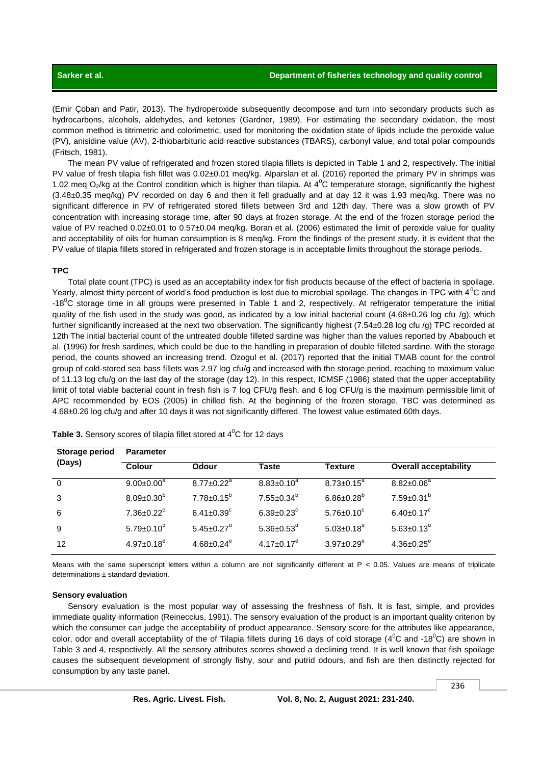(Emir Çoban and Patir, 2013). The hydroperoxide subsequently decompose and turn into secondary products such as hydrocarbons, alcohols, aldehydes, and ketones (Gardner, 1989). For estimating the secondary oxidation, the most common method is titrimetric and colorimetric, used for monitoring the oxidation state of lipids include the peroxide value (PV), anisidine value (AV), 2-thiobarbituric acid reactive substances (TBARS), carbonyl value, and total polar compounds (Fritsch, 1981).

The mean PV value of refrigerated and frozen stored tilapia fillets is depicted in Table 1 and 2, respectively. The initial PV value of fresh tilapia fish fillet was 0.02±0.01 meq/kg. Alparslan et al. (2016) reported the primary PV in shrimps was 1.02 meg  $O_2$ /kg at the Control condition which is higher than tilapia. At  $4^{\circ}$ C temperature storage, significantly the highest (3.48±0.35 meq/kg) PV recorded on day 6 and then it fell gradually and at day 12 it was 1.93 meq/kg. There was no significant difference in PV of refrigerated stored fillets between 3rd and 12th day. There was a slow growth of PV concentration with increasing storage time, after 90 days at frozen storage. At the end of the frozen storage period the value of PV reached 0.02±0.01 to 0.57±0.04 meq/kg. Boran et al. (2006) estimated the limit of peroxide value for quality and acceptability of oils for human consumption is 8 meq/kg. From the findings of the present study, it is evident that the PV value of tilapia fillets stored in refrigerated and frozen storage is in acceptable limits throughout the storage periods.

#### **TPC**

Total plate count (TPC) is used as an acceptability index for fish products because of the effect of bacteria in spoilage. Yearly, almost thirty percent of world's food production is lost due to microbial spoilage. The changes in TPC with  $4^{\circ}$ C and -18<sup>0</sup>C storage time in all groups were presented in Table 1 and 2, respectively. At refrigerator temperature the initial quality of the fish used in the study was good, as indicated by a low initial bacterial count (4.68±0.26 log cfu /g), which further significantly increased at the next two observation. The significantly highest  $(7.54\pm0.28 \text{ log} \text{ c} \text{fu/g})$  TPC recorded at 12th The initial bacterial count of the untreated double filleted sardine was higher than the values reported by Ababouch et al. (1996) for fresh sardines, which could be due to the handling in preparation of double filleted sardine. With the storage period, the counts showed an increasing trend. Ozogul et al. (2017) reported that the initial TMAB count for the control group of cold-stored sea bass fillets was 2.97 log cfu/g and increased with the storage period, reaching to maximum value of 11.13 log cfu/g on the last day of the storage (day 12). In this respect, ICMSF (1986) stated that the upper acceptability limit of total viable bacterial count in fresh fish is 7 log CFU/g flesh, and 6 log CFU/g is the maximum permissible limit of APC recommended by EOS (2005) in chilled fish. At the beginning of the frozen storage, TBC was determined as 4.68±0.26 log cfu/g and after 10 days it was not significantly differed. The lowest value estimated 60th days.

| <b>Storage period</b><br>(Days) | <b>Parameter</b>             |                              |                              |                              |                              |  |
|---------------------------------|------------------------------|------------------------------|------------------------------|------------------------------|------------------------------|--|
|                                 | <b>Colour</b>                | <b>Odour</b>                 | Taste                        | <b>Texture</b>               | <b>Overall acceptability</b> |  |
| $\Omega$                        | $9.00 \pm 0.00^a$            | $8.77 \pm 0.22$ <sup>a</sup> | $8.83 \pm 0.10^a$            | $8.73 \pm 0.15^{\circ}$      | $8.82 \pm 0.06^{\circ}$      |  |
| 3                               | $8.09 \pm 0.30^b$            | $7.78 \pm 0.15^b$            | $7.55 \pm 0.34^b$            | $6.86 \pm 0.28$ <sup>b</sup> | $7.59 \pm 0.31^{b}$          |  |
| 6                               | $7.36 \pm 0.22$ <sup>c</sup> | $6.41 \pm 0.39$ <sup>c</sup> | $6.39 \pm 0.23$ <sup>c</sup> | $5.76 \pm 0.10^c$            | $6.40 \pm 0.17^c$            |  |
| 9                               | $5.79 \pm 0.10^{\circ}$      | $5.45 \pm 0.27$ <sup>d</sup> | 5.36 $\pm$ 0.53 <sup>d</sup> | $5.03 \pm 0.18$ <sup>d</sup> | $5.63 \pm 0.13^d$            |  |
| 12                              | $4.97 \pm 0.18$ <sup>e</sup> | $4.68 \pm 0.24$ <sup>e</sup> | $4.17 \pm 0.17^e$            | $3.97 \pm 0.29$ <sup>e</sup> | $4.36 \pm 0.25$ <sup>e</sup> |  |
|                                 |                              |                              |                              |                              |                              |  |

**Table 3.** Sensory scores of tilapia fillet stored at 4<sup>°</sup>C for 12 days

Means with the same superscript letters within a column are not significantly different at P < 0.05. Values are means of triplicate determinations ± standard deviation.

#### **Sensory evaluation**

Sensory evaluation is the most popular way of assessing the freshness of fish. It is fast, simple, and provides immediate quality information (Reineccius, 1991). The sensory evaluation of the product is an important quality criterion by which the consumer can judge the acceptability of product appearance. Sensory score for the attributes like appearance, color, odor and overall acceptability of the of Tilapia fillets during 16 days of cold storage (4<sup>0</sup>C and -18<sup>0</sup>C) are shown in Table 3 and 4, respectively. All the sensory attributes scores showed a declining trend. It is well known that fish spoilage causes the subsequent development of strongly fishy, sour and putrid odours, and fish are then distinctly rejected for consumption by any taste panel.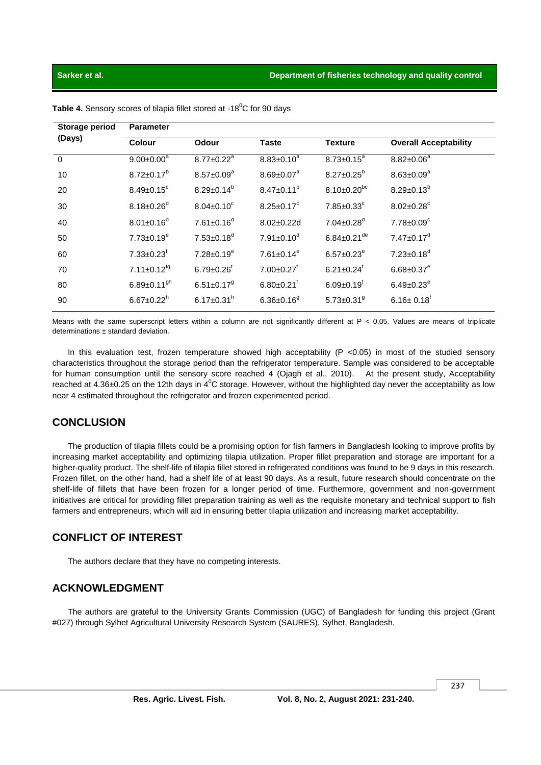## Sarker et al.

| Storage period | <b>Parameter</b>              |                              |                              |                               |                              |
|----------------|-------------------------------|------------------------------|------------------------------|-------------------------------|------------------------------|
| (Days)         | <b>Colour</b>                 | <b>Odour</b>                 | <b>Taste</b>                 | <b>Texture</b>                | <b>Overall Acceptability</b> |
| $\Omega$       | $9.00 \pm 0.00^a$             | $8.77 \pm 0.22$ <sup>a</sup> | $8.83 \pm 0.10^a$            | $8.73 \pm 0.15^a$             | $8.82 \pm 0.06^a$            |
| 10             | $8.72 \pm 0.17^b$             | $8.57 \pm 0.09^a$            | $8.69 \pm 0.07^a$            | $8.27 \pm 0.25^b$             | $8.63 \pm 0.09^a$            |
| 20             | $8.49 \pm 0.15$ <sup>c</sup>  | $8.29 \pm 0.14^b$            | $8.47 \pm 0.11^b$            | $8.10\pm0.20^{bc}$            | $8.29 \pm 0.13^{b}$          |
| 30             | $8.18 \pm 0.26$ <sup>d</sup>  | $8.04 \pm 0.10^c$            | $8.25 \pm 0.17^c$            | $7.85 \pm 0.33$ <sup>c</sup>  | $8.02 \pm 0.28$ <sup>c</sup> |
| 40             | $8.01 \pm 0.16^{d}$           | $7.61 \pm 0.16$ <sup>d</sup> | $8.02 \pm 0.22$ d            | $7.04 \pm 0.28$ <sup>d</sup>  | $7.78 \pm 0.09$ <sup>c</sup> |
| 50             | $7.73 \pm 0.19^e$             | $7.53 \pm 0.18$ <sup>d</sup> | $7.91 \pm 0.10$ <sup>d</sup> | $6.84 \pm 0.21$ <sup>de</sup> | $7.47 \pm 0.17$ <sup>d</sup> |
| 60             | $7.33 \pm 0.23$ <sup>f</sup>  | $7.28 \pm 0.19^e$            | $7.61 \pm 0.14^e$            | $6.57 \pm 0.23^e$             | $7.23 \pm 0.18$ <sup>d</sup> |
| 70             | $7.11 \pm 0.12$ <sup>fg</sup> | $6.79 \pm 0.26$              | $7.00 \pm 0.27$ <sup>t</sup> | $6.21 \pm 0.24$ <sup>t</sup>  | $6.68 \pm 0.37$ <sup>e</sup> |
| 80             | $6.89 \pm 0.11$ <sup>gh</sup> | $6.51 \pm 0.17$ <sup>g</sup> | $6.80 \pm 0.21$              | $6.09 \pm 0.19$ <sup>f</sup>  | $6.49 \pm 0.23^e$            |
| 90             | $6.67 \pm 0.22$ <sup>h</sup>  | $6.17 \pm 0.31$ <sup>h</sup> | $6.36 \pm 0.16$ <sup>9</sup> | 5.73 $\pm$ 0.31 $9$           | $6.16 \pm 0.18$ <sup>r</sup> |

Table 4. Sensory scores of tilapia fillet stored at -18<sup>0</sup>C for 90 days

Means with the same superscript letters within a column are not significantly different at P < 0.05. Values are means of triplicate determinations ± standard deviation.

In this evaluation test, frozen temperature showed high acceptability ( $P$  <0.05) in most of the studied sensory characteristics throughout the storage period than the refrigerator temperature. Sample was considered to be acceptable for human consumption until the sensory score reached 4 (Ojagh et al., 2010). At the present study, Acceptability reached at 4.36 $\pm$ 0.25 on the 12th days in 4<sup>o</sup>C storage. However, without the highlighted day never the acceptability as low near 4 estimated throughout the refrigerator and frozen experimented period.

# **CONCLUSION**

The production of tilapia fillets could be a promising option for fish farmers in Bangladesh looking to improve profits by increasing market acceptability and optimizing tilapia utilization. Proper fillet preparation and storage are important for a higher-quality product. The shelf-life of tilapia fillet stored in refrigerated conditions was found to be 9 days in this research. Frozen fillet, on the other hand, had a shelf life of at least 90 days. As a result, future research should concentrate on the shelf-life of fillets that have been frozen for a longer period of time. Furthermore, government and non-government initiatives are critical for providing fillet preparation training as well as the requisite monetary and technical support to fish farmers and entrepreneurs, which will aid in ensuring better tilapia utilization and increasing market acceptability.

# **CONFLICT OF INTEREST**

The authors declare that they have no competing interests.

# **ACKNOWLEDGMENT**

The authors are grateful to the University Grants Commission (UGC) of Bangladesh for funding this project (Grant #027) through Sylhet Agricultural University Research System (SAURES), Sylhet, Bangladesh,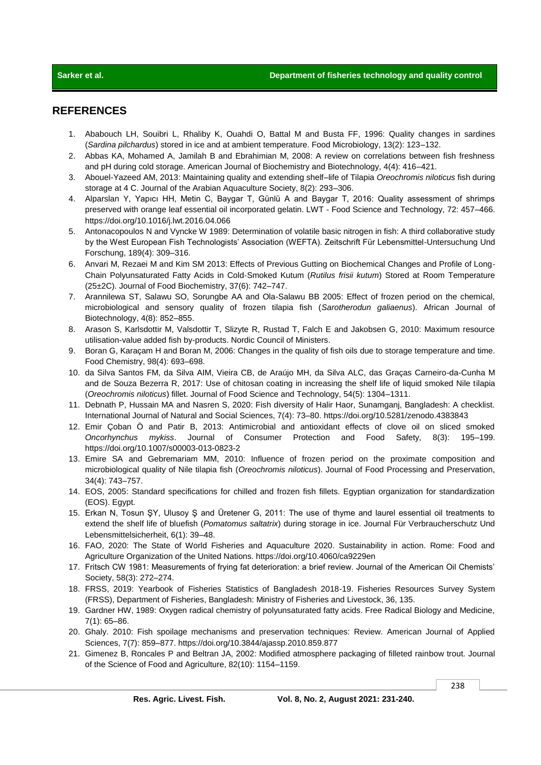# **REFERENCES**

- 1. Ababouch LH, Souibri L, Rhaliby K, Ouahdi O, Battal M and Busta FF, 1996: Quality changes in sardines (*Sardina pilchardus*) stored in ice and at ambient temperature. Food Microbiology, 13(2): 123–132.
- 2. Abbas KA, Mohamed A, Jamilah B and Ebrahimian M, 2008: A review on correlations between fish freshness and pH during cold storage. American Journal of Biochemistry and Biotechnology, 4(4): 416–421.
- 3. Abouel-Yazeed AM, 2013: Maintaining quality and extending shelf–life of Tilapia *Oreochromis niloticus* fish during storage at 4 C. Journal of the Arabian Aquaculture Society, 8(2): 293–306.
- 4. Alparslan Y, Yapıcı HH, Metin C, Baygar T, Günlü A and Baygar T, 2016: Quality assessment of shrimps preserved with orange leaf essential oil incorporated gelatin. LWT - Food Science and Technology, 72: 457–466. https://doi.org/10.1016/j.lwt.2016.04.066
- 5. Antonacopoulos N and Vyncke W 1989: Determination of volatile basic nitrogen in fish: A third collaborative study by the West European Fish Technologists' Association (WEFTA). Zeitschrift Für Lebensmittel-Untersuchung Und Forschung, 189(4): 309–316.
- 6. Anvari M, Rezaei M and Kim SM 2013: Effects of Previous Gutting on Biochemical Changes and Profile of Long‐ Chain Polyunsaturated Fatty Acids in Cold‐Smoked Kutum (*Rutilus frisii kutum*) Stored at Room Temperature (25±2C). Journal of Food Biochemistry, 37(6): 742–747.
- 7. Arannilewa ST, Salawu SO, Sorungbe AA and Ola-Salawu BB 2005: Effect of frozen period on the chemical, microbiological and sensory quality of frozen tilapia fish (*Sarotherodun galiaenus*). African Journal of Biotechnology, 4(8): 852–855.
- 8. Arason S, Karlsdottir M, Valsdottir T, Slizyte R, Rustad T, Falch E and Jakobsen G, 2010: Maximum resource utilisation-value added fish by-products. Nordic Council of Ministers.
- 9. Boran G, Karaçam H and Boran M, 2006: Changes in the quality of fish oils due to storage temperature and time. Food Chemistry, 98(4): 693–698.
- 10. da Silva Santos FM, da Silva AIM, Vieira CB, de Araújo MH, da Silva ALC, das Graças Carneiro-da-Cunha M and de Souza Bezerra R, 2017: Use of chitosan coating in increasing the shelf life of liquid smoked Nile tilapia (*Oreochromis niloticus*) fillet. Journal of Food Science and Technology, 54(5): 1304–1311.
- 11. Debnath P, Hussain MA and Nasren S, 2020: Fish diversity of Halir Haor, Sunamganj, Bangladesh: A checklist. International Journal of Natural and Social Sciences, 7(4): 73–80. https://doi.org/10.5281/zenodo.4383843
- 12. Emir Çoban Ö and Patir B, 2013: Antimicrobial and antioxidant effects of clove oil on sliced smoked *Oncorhynchus mykiss*. Journal of Consumer Protection and Food Safety, 8(3): 195–199. https://doi.org/10.1007/s00003-013-0823-2
- 13. Emire SA and Gebremariam MM, 2010: Influence of frozen period on the proximate composition and microbiological quality of Nile tilapia fish (*Oreochromis niloticus*). Journal of Food Processing and Preservation, 34(4): 743–757.
- 14. EOS, 2005: Standard specifications for chilled and frozen fish fillets. Egyptian organization for standardization (EOS). Egypt.
- 15. Erkan N, Tosun ŞY, Ulusoy Ş and Üretener G, 2011: The use of thyme and laurel essential oil treatments to extend the shelf life of bluefish (*Pomatomus saltatrix*) during storage in ice. Journal Für Verbraucherschutz Und Lebensmittelsicherheit, 6(1): 39–48.
- 16. FAO, 2020: The State of World Fisheries and Aquaculture 2020. Sustainability in action. Rome: Food and Agriculture Organization of the United Nations. https://doi.org/10.4060/ca9229en
- 17. Fritsch CW 1981: Measurements of frying fat deterioration: a brief review. Journal of the American Oil Chemists' Society, 58(3): 272–274.
- 18. FRSS, 2019: Yearbook of Fisheries Statistics of Bangladesh 2018-19. Fisheries Resources Survey System (FRSS), Department of Fisheries, Bangladesh: Ministry of Fisheries and Livestock, 36, 135.
- 19. Gardner HW, 1989: Oxygen radical chemistry of polyunsaturated fatty acids. Free Radical Biology and Medicine, 7(1): 65–86.
- 20. Ghaly. 2010: Fish spoilage mechanisms and preservation techniques: Review. American Journal of Applied Sciences, 7(7): 859–877. https://doi.org/10.3844/ajassp.2010.859.877
- 21. Gimenez B, Roncales P and Beltran JA, 2002: Modified atmosphere packaging of filleted rainbow trout. Journal of the Science of Food and Agriculture, 82(10): 1154–1159.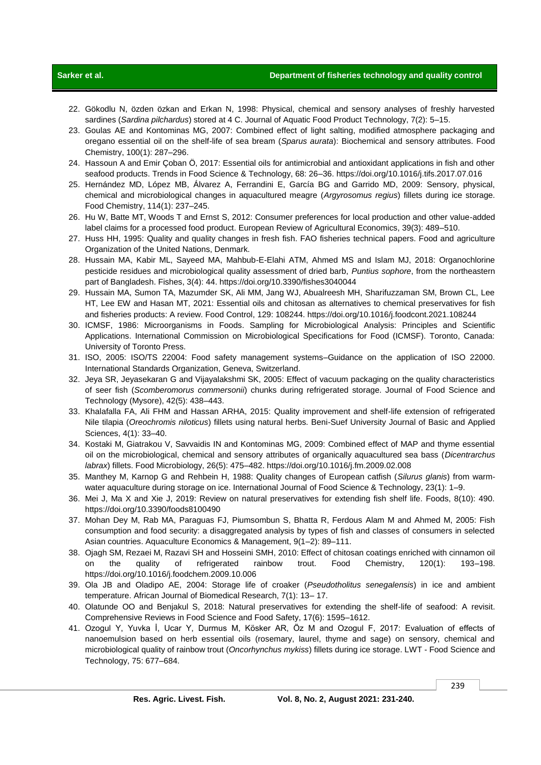# **Sarker et al. Department of fisheries technology and quality control**

- 22. Gökodlu N, özden özkan and Erkan N, 1998: Physical, chemical and sensory analyses of freshly harvested sardines (*Sardina pilchardus*) stored at 4 C. Journal of Aquatic Food Product Technology, 7(2): 5–15.
- 23. Goulas AE and Kontominas MG, 2007: Combined effect of light salting, modified atmosphere packaging and oregano essential oil on the shelf-life of sea bream (*Sparus aurata*): Biochemical and sensory attributes. Food Chemistry, 100(1): 287–296.
- 24. Hassoun A and Emir Çoban Ö, 2017: Essential oils for antimicrobial and antioxidant applications in fish and other seafood products. Trends in Food Science & Technology, 68: 26–36. https://doi.org/10.1016/j.tifs.2017.07.016
- 25. Hernández MD, López MB, Álvarez A, Ferrandini E, García BG and Garrido MD, 2009: Sensory, physical, chemical and microbiological changes in aquacultured meagre (*Argyrosomus regius*) fillets during ice storage. Food Chemistry, 114(1): 237–245.
- 26. Hu W, Batte MT, Woods T and Ernst S, 2012: Consumer preferences for local production and other value-added label claims for a processed food product. European Review of Agricultural Economics, 39(3): 489–510.
- 27. Huss HH, 1995: Quality and quality changes in fresh fish. FAO fisheries technical papers. Food and agriculture Organization of the United Nations, Denmark.
- 28. Hussain MA, Kabir ML, Sayeed MA, Mahbub-E-Elahi ATM, Ahmed MS and Islam MJ, 2018: Organochlorine pesticide residues and microbiological quality assessment of dried barb, *Puntius sophore*, from the northeastern part of Bangladesh. Fishes, 3(4): 44. https://doi.org/10.3390/fishes3040044
- 29. Hussain MA, Sumon TA, Mazumder SK, Ali MM, Jang WJ, Abualreesh MH, Sharifuzzaman SM, Brown CL, Lee HT, Lee EW and Hasan MT, 2021: Essential oils and chitosan as alternatives to chemical preservatives for fish and fisheries products: A review. Food Control, 129: 108244. https://doi.org/10.1016/j.foodcont.2021.108244
- 30. ICMSF, 1986: Microorganisms in Foods. Sampling for Microbiological Analysis: Principles and Scientific Applications. International Commission on Microbiological Specifications for Food (ICMSF). Toronto, Canada: University of Toronto Press.
- 31. ISO, 2005: ISO/TS 22004: Food safety management systems–Guidance on the application of ISO 22000. International Standards Organization, Geneva, Switzerland.
- 32. Jeya SR, Jeyasekaran G and Vijayalakshmi SK, 2005: Effect of vacuum packaging on the quality characteristics of seer fish (*Scomberomorus commersonii*) chunks during refrigerated storage. Journal of Food Science and Technology (Mysore), 42(5): 438–443.
- 33. Khalafalla FA, Ali FHM and Hassan ARHA, 2015: Quality improvement and shelf-life extension of refrigerated Nile tilapia (*Oreochromis niloticus*) fillets using natural herbs. Beni-Suef University Journal of Basic and Applied Sciences, 4(1): 33–40.
- 34. Kostaki M, Giatrakou V, Savvaidis IN and Kontominas MG, 2009: Combined effect of MAP and thyme essential oil on the microbiological, chemical and sensory attributes of organically aquacultured sea bass (*Dicentrarchus labrax*) fillets. Food Microbiology, 26(5): 475–482. https://doi.org/10.1016/j.fm.2009.02.008
- 35. Manthey M, Karnop G and Rehbein H, 1988: Quality changes of European catfish (*Silurus glanis*) from warm‐ water aquaculture during storage on ice. International Journal of Food Science & Technology, 23(1): 1-9.
- 36. Mei J, Ma X and Xie J, 2019: Review on natural preservatives for extending fish shelf life. Foods, 8(10): 490. https://doi.org/10.3390/foods8100490
- 37. Mohan Dey M, Rab MA, Paraguas FJ, Piumsombun S, Bhatta R, Ferdous Alam M and Ahmed M, 2005: Fish consumption and food security: a disaggregated analysis by types of fish and classes of consumers in selected Asian countries. Aquaculture Economics & Management, 9(1–2): 89–111.
- 38. Ojagh SM, Rezaei M, Razavi SH and Hosseini SMH, 2010: Effect of chitosan coatings enriched with cinnamon oil on the quality of refrigerated rainbow trout. Food Chemistry, 120(1): 193–198. https://doi.org/10.1016/j.foodchem.2009.10.006
- 39. Ola JB and Oladipo AE, 2004: Storage life of croaker (*Pseudotholitus senegalensis*) in ice and ambient temperature. African Journal of Biomedical Research, 7(1): 13– 17.
- 40. Olatunde OO and Benjakul S, 2018: Natural preservatives for extending the shelf-life of seafood: A revisit. Comprehensive Reviews in Food Science and Food Safety, 17(6): 1595–1612.
- 41. Ozogul Y, Yuvka İ, Ucar Y, Durmus M, Kösker AR, Öz M and Ozogul F, 2017: Evaluation of effects of nanoemulsion based on herb essential oils (rosemary, laurel, thyme and sage) on sensory, chemical and microbiological quality of rainbow trout (*Oncorhynchus mykiss*) fillets during ice storage. LWT - Food Science and Technology, 75: 677–684.